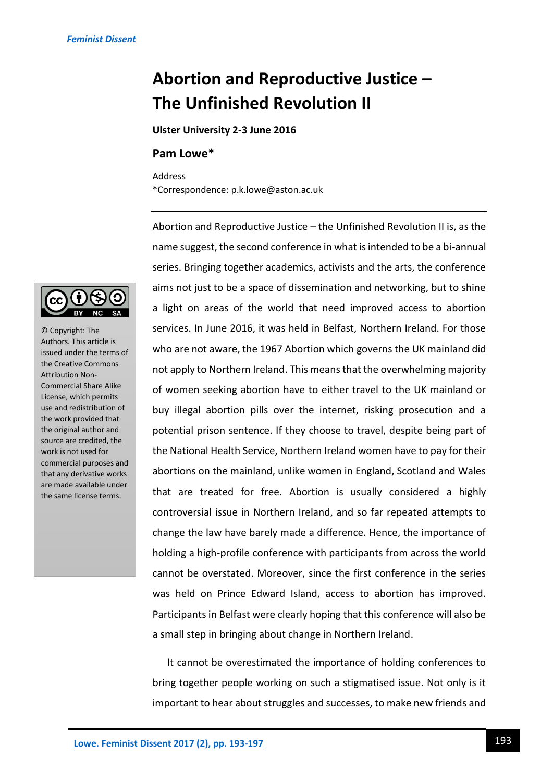## **Abortion and Reproductive Justice – The Unfinished Revolution II**

**Ulster University 2-3 June 2016**

## **Pam Lowe\***

Address \*Correspondence: p.k.lowe@aston.ac.uk

Abortion and Reproductive Justice – the Unfinished Revolution II is, as the name suggest, the second conference in what is intended to be a bi-annual series. Bringing together academics, activists and the arts, the conference aims not just to be a space of dissemination and networking, but to shine a light on areas of the world that need improved access to abortion services. In June 2016, it was held in Belfast, Northern Ireland. For those who are not aware, the 1967 Abortion which governs the UK mainland did not apply to Northern Ireland. This means that the overwhelming majority of women seeking abortion have to either travel to the UK mainland or buy illegal abortion pills over the internet, risking prosecution and a potential prison sentence. If they choose to travel, despite being part of the National Health Service, Northern Ireland women have to pay for their abortions on the mainland, unlike women in England, Scotland and Wales that are treated for free. Abortion is usually considered a highly controversial issue in Northern Ireland, and so far repeated attempts to change the law have barely made a difference. Hence, the importance of holding a high-profile conference with participants from across the world cannot be overstated. Moreover, since the first conference in the series was held on Prince Edward Island, access to abortion has improved. Participants in Belfast were clearly hoping that this conference will also be a small step in bringing about change in Northern Ireland.

It cannot be overestimated the importance of holding conferences to bring together people working on such a stigmatised issue. Not only is it important to hear about struggles and successes, to make new friends and



© Copyright: The Authors. This article is issued under the terms of the Creative Commons Attribution Non-Commercial Share Alike License, which permits use and redistribution of the work provided that the original author and source are credited, the work is not used for commercial purposes and that any derivative works are made available under the same license terms.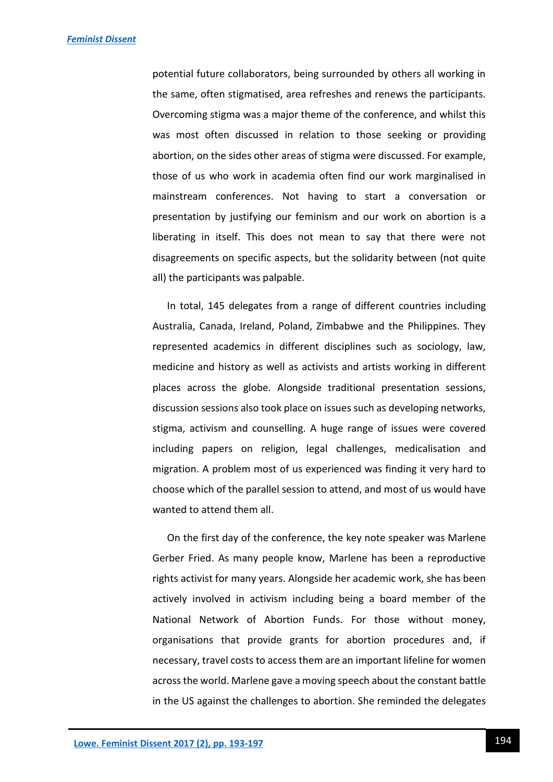potential future collaborators, being surrounded by others all working in the same, often stigmatised, area refreshes and renews the participants. Overcoming stigma was a major theme of the conference, and whilst this was most often discussed in relation to those seeking or providing abortion, on the sides other areas of stigma were discussed. For example, those of us who work in academia often find our work marginalised in mainstream conferences. Not having to start a conversation or presentation by justifying our feminism and our work on abortion is a liberating in itself. This does not mean to say that there were not disagreements on specific aspects, but the solidarity between (not quite all) the participants was palpable.

In total, 145 delegates from a range of different countries including Australia, Canada, Ireland, Poland, Zimbabwe and the Philippines. They represented academics in different disciplines such as sociology, law, medicine and history as well as activists and artists working in different places across the globe. Alongside traditional presentation sessions, discussion sessions also took place on issues such as developing networks, stigma, activism and counselling. A huge range of issues were covered including papers on religion, legal challenges, medicalisation and migration. A problem most of us experienced was finding it very hard to choose which of the parallel session to attend, and most of us would have wanted to attend them all.

On the first day of the conference, the key note speaker was Marlene Gerber Fried. As many people know, Marlene has been a reproductive rights activist for many years. Alongside her academic work, she has been actively involved in activism including being a board member of the National Network of Abortion Funds. For those without money, organisations that provide grants for abortion procedures and, if necessary, travel costs to access them are an important lifeline for women across the world. Marlene gave a moving speech about the constant battle in the US against the challenges to abortion. She reminded the delegates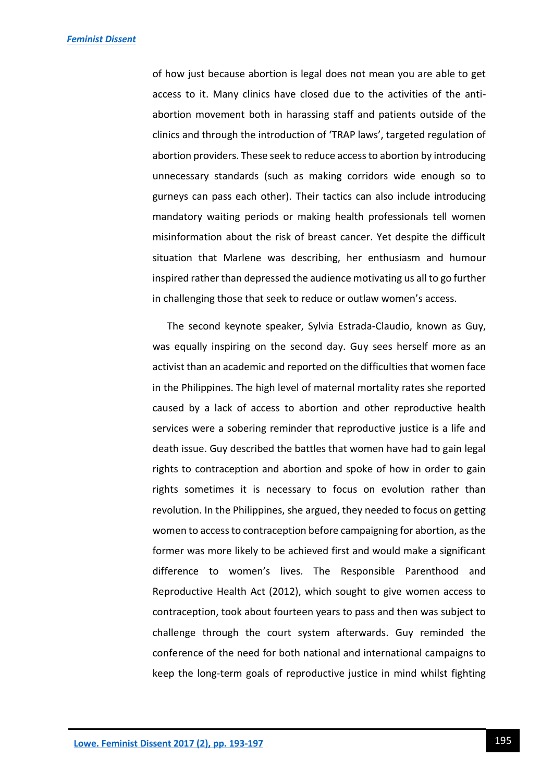of how just because abortion is legal does not mean you are able to get access to it. Many clinics have closed due to the activities of the antiabortion movement both in harassing staff and patients outside of the clinics and through the introduction of 'TRAP laws', targeted regulation of abortion providers. These seek to reduce access to abortion by introducing unnecessary standards (such as making corridors wide enough so to gurneys can pass each other). Their tactics can also include introducing mandatory waiting periods or making health professionals tell women misinformation about the risk of breast cancer. Yet despite the difficult situation that Marlene was describing, her enthusiasm and humour inspired rather than depressed the audience motivating us all to go further in challenging those that seek to reduce or outlaw women's access.

The second keynote speaker, Sylvia Estrada-Claudio, known as Guy, was equally inspiring on the second day. Guy sees herself more as an activist than an academic and reported on the difficulties that women face in the Philippines. The high level of maternal mortality rates she reported caused by a lack of access to abortion and other reproductive health services were a sobering reminder that reproductive justice is a life and death issue. Guy described the battles that women have had to gain legal rights to contraception and abortion and spoke of how in order to gain rights sometimes it is necessary to focus on evolution rather than revolution. In the Philippines, she argued, they needed to focus on getting women to access to contraception before campaigning for abortion, as the former was more likely to be achieved first and would make a significant difference to women's lives. The Responsible Parenthood and Reproductive Health Act (2012), which sought to give women access to contraception, took about fourteen years to pass and then was subject to challenge through the court system afterwards. Guy reminded the conference of the need for both national and international campaigns to keep the long-term goals of reproductive justice in mind whilst fighting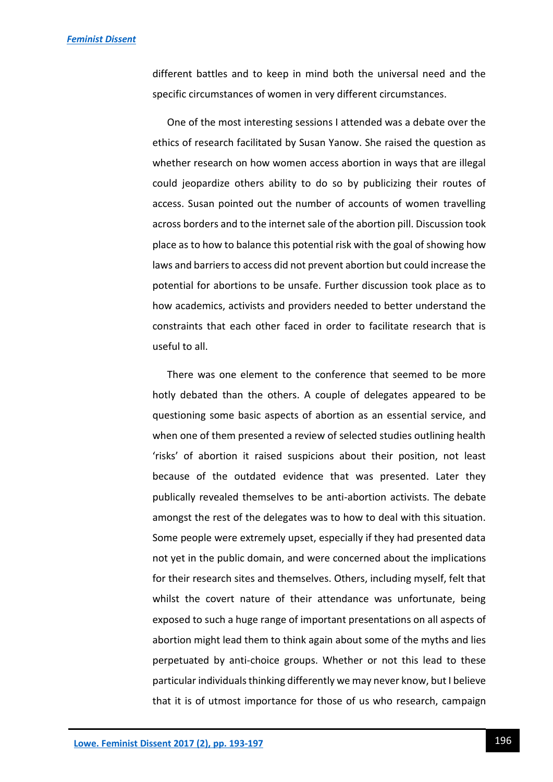different battles and to keep in mind both the universal need and the specific circumstances of women in very different circumstances.

One of the most interesting sessions I attended was a debate over the ethics of research facilitated by Susan Yanow. She raised the question as whether research on how women access abortion in ways that are illegal could jeopardize others ability to do so by publicizing their routes of access. Susan pointed out the number of accounts of women travelling across borders and to the internet sale of the abortion pill. Discussion took place as to how to balance this potential risk with the goal of showing how laws and barriers to access did not prevent abortion but could increase the potential for abortions to be unsafe. Further discussion took place as to how academics, activists and providers needed to better understand the constraints that each other faced in order to facilitate research that is useful to all.

There was one element to the conference that seemed to be more hotly debated than the others. A couple of delegates appeared to be questioning some basic aspects of abortion as an essential service, and when one of them presented a review of selected studies outlining health 'risks' of abortion it raised suspicions about their position, not least because of the outdated evidence that was presented. Later they publically revealed themselves to be anti-abortion activists. The debate amongst the rest of the delegates was to how to deal with this situation. Some people were extremely upset, especially if they had presented data not yet in the public domain, and were concerned about the implications for their research sites and themselves. Others, including myself, felt that whilst the covert nature of their attendance was unfortunate, being exposed to such a huge range of important presentations on all aspects of abortion might lead them to think again about some of the myths and lies perpetuated by anti-choice groups. Whether or not this lead to these particular individuals thinking differently we may never know, but I believe that it is of utmost importance for those of us who research, campaign